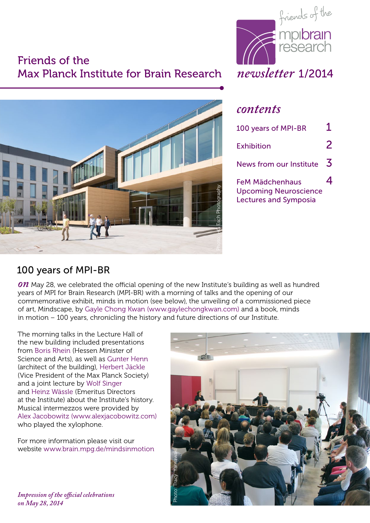### Friends of the Max Planck Institute for Brain Research *newsletter* 1/2014





#### *contents*

| 100 years of MPI-BR                                                                    | 1 |
|----------------------------------------------------------------------------------------|---|
| Exhibition                                                                             | 2 |
| News from our Institute                                                                | 3 |
| <b>FeM Mädchenhaus</b><br><b>Upcoming Neuroscience</b><br><b>Lectures and Symposia</b> |   |

#### 100 years of MPI-BR

*ON* May 28, we celebrated the official opening of the new Institute's building as well as hundred years of MPI for Brain Research (MPI-BR) with a morning of talks and the opening of our commemorative exhibit, minds in motion (see below), the unveiling of a commissioned piece of art, Mindscape, by Gayle Chong Kwan (www.gaylechongkwan.com) and a book, minds in motion – 100 years, chronicling the history and future directions of our Institute.

The morning talks in the Lecture Hall of the new building included presentations from Boris Rhein (Hessen Minister of Science and Arts), as well as Gunter Henn (architect of the building), Herbert Jäckle (Vice President of the Max Planck Society) and a joint lecture by Wolf Singer and Heinz Wässle (Emeritus Directors at the Institute) about the Institute's history. Musical intermezzos were provided by Alex Jacobowitz (www.alexjacobowitz.com) who played the xylophone.

For more information please visit our website www.brain.mpg.de/mindsinmotion

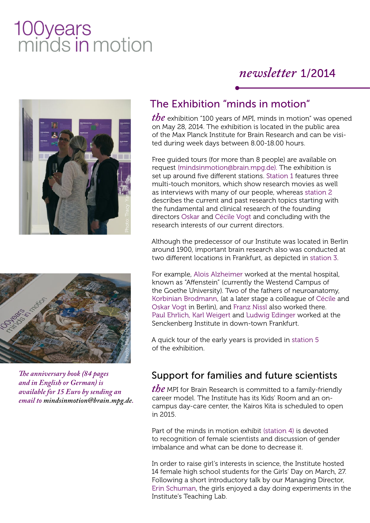# 100years<br>minds in motion

## *newsletter* 1/2014





*The anniversary book (84 pages and in English or German) is available for 15 Euro by sending an* 

#### The Exhibition "minds in motion"

*the* exhibition "100 years of MPI, minds in motion" was opened on May 28, 2014. The exhibition is located in the public area of the Max Planck Institute for Brain Research and can be visited during week days between 8.00-18.00 hours.

Free guided tours (for more than 8 people) are available on request (mindsinmotion@brain.mpg.de). The exhibition is set up around five different stations. Station 1 features three multi-touch monitors, which show research movies as well as interviews with many of our people, whereas station 2 describes the current and past research topics starting with the fundamental and clinical research of the founding directors Oskar and Cécile Vogt and concluding with the research interests of our current directors.

Although the predecessor of our Institute was located in Berlin around 1900, important brain research also was conducted at two different locations in Frankfurt, as depicted in station 3.

For example, Alois Alzheimer worked at the mental hospital, known as "Affenstein" (currently the Westend Campus of the Goethe University). Two of the fathers of neuroanatomy, Korbinian Brodmann, (at a later stage a colleague of Cécile and Oskar Vogt in Berlin), and Franz Nissl also worked there. Paul Ehrlich, Karl Weigert and Ludwig Edinger worked at the Senckenberg Institute in down-town Frankfurt.

A quick tour of the early years is provided in station 5 of the exhibition.

#### Support for families and future scientists

*the* MPI for Brain Research is committed to a family-friendly career model. The Institute has its Kids' Room and an oncampus day-care center, the Kairos Kita is scheduled to open in 2015.

Part of the minds in motion exhibit (station 4) is devoted to recognition of female scientists and discussion of gender imbalance and what can be done to decrease it.

In order to raise girl's interests in science, the Institute hosted 14 female high school students for the Girls' Day on March, 27. Following a short introductory talk by our Managing Director, Erin Schuman, the girls enjoyed a day doing experiments in the Institute's Teaching Lab.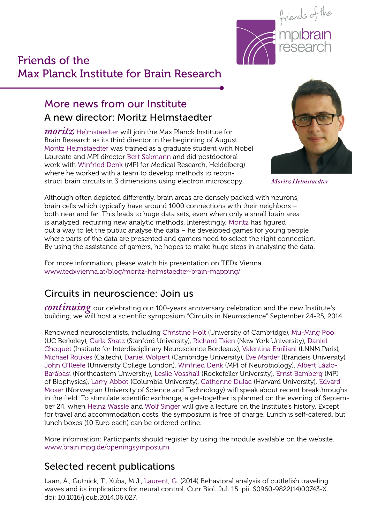

#### Friends of the Max Planck Institute for Brain Research

#### More news from our Institute A new director: Moritz Helmstaedter

*moritz* Helmstaedter will join the Max Planck Institute for Brain Research as its third director in the beginning of August. Moritz Helmstaedter was trained as a graduate student with Nobel Laureate and MPI director Bert Sakmann and did postdoctoral work with Winfried Denk (MPI for Medical Research, Heidelberg) where he worked with a team to develop methods to reconstruct brain circuits in 3 dimensions using electron microscopy.



*Moritz Helmstaedter*

Although often depicted differently, brain areas are densely packed with neurons, brain cells which typically have around 1000 connections with their neighbors – both near and far. This leads to huge data sets, even when only a small brain area is analyzed, requiring new analytic methods. Interestingly, Moritz has figured out a way to let the public analyse the data – he developed games for young people where parts of the data are presented and gamers need to select the right connection. By using the assistance of gamers, he hopes to make huge steps in analysing the data.

For more information, please watch his presentation on TEDx Vienna. www.tedxvienna.at/blog/moritz-helmstaedter-brain-mapping/

#### Circuits in neuroscience: Join us

*continuing* our celebrating our 100-years anniversary celebration and the new Institute's building, we will host a scientific symposium "Circuits in Neuroscience" September 24-25, 2014.

Renowned neuroscientists, including Christine Holt (University of Cambridge), Mu-Ming Poo (UC Berkeley), Carla Shatz (Stanford University), Richard Tsien (New York University), Daniel Choquet (Institute for Interdisciplinary Neuroscience Bordeaux), Valentina Emiliani (LNNM Paris), Michael Roukes (Caltech), Daniel Wolpert (Cambridge University), Eve Marder (Brandeis University), John O'Keefe (University College London), Winfried Denk (MPI of Neurobiology), Albert Lázlo-Barábasi (Northeastern University), Leslie Vosshall (Rockefeller University), Ernst Bamberg (MPI of Biophysics), Larry Abbot (Columbia University), Catherine Dulac (Harvard University), Edvard Moser (Norwegian University of Science and Technology) will speak about recent breakthroughs in the field. To stimulate scientific exchange, a get-together is planned on the evening of September 24, when Heinz Wässle and Wolf Singer will give a lecture on the Institute's history. Except for travel and accommodation costs, the symposium is free of charge. Lunch is self-catered, but lunch boxes (10 Euro each) can be ordered online.

More information: Participants should register by using the module available on the website. www.brain.mpg.de/openingsymposium

#### Selected recent publications

Laan, A., Gutnick, T., Kuba, M.J., Laurent, G. (2014) Behavioral analysis of cuttlefish traveling waves and its implications for neural control. Curr Biol. Jul. 15. pii: S0960-9822(14)00743-X. doi: 10.1016/j.cub.2014.06.027.